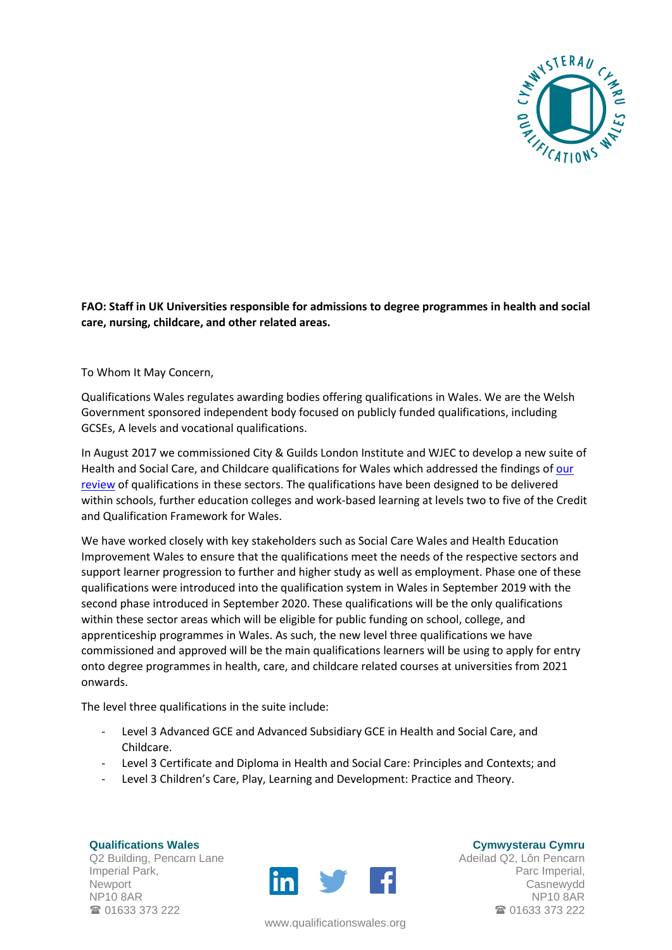

## **FAO: Staff in UK Universities responsible for admissions to degree programmes in health and social care, nursing, childcare, and other related areas.**

To Whom It May Concern,

Qualifications Wales regulates awarding bodies offering qualifications in Wales. We are the Welsh Government sponsored independent body focused on publicly funded qualifications, including GCSEs, A levels and vocational qualifications.

In August 2017 we commissioned City & Guilds London Institute and WJEC to develop a new suite of Health and Social Care, and Childcare qualifications for Wales which addressed the findings of [our](https://www.qualificationswales.org/media/1904/hsc-report-2016-e.pdf)  [review](https://www.qualificationswales.org/media/1904/hsc-report-2016-e.pdf) of qualifications in these sectors. The qualifications have been designed to be delivered within schools, further education colleges and work-based learning at levels two to five of the Credit and Qualification Framework for Wales.

We have worked closely with key stakeholders such as Social Care Wales and Health Education Improvement Wales to ensure that the qualifications meet the needs of the respective sectors and support learner progression to further and higher study as well as employment. Phase one of these qualifications were introduced into the qualification system in Wales in September 2019 with the second phase introduced in September 2020. These qualifications will be the only qualifications within these sector areas which will be eligible for public funding on school, college, and apprenticeship programmes in Wales. As such, the new level three qualifications we have commissioned and approved will be the main qualifications learners will be using to apply for entry onto degree programmes in health, care, and childcare related courses at universities from 2021 onwards.

The level three qualifications in the suite include:

- Level 3 Advanced GCE and Advanced Subsidiary GCE in Health and Social Care, and Childcare.
- Level 3 Certificate and Diploma in Health and Social Care: Principles and Contexts; and
- Level 3 Children's Care, Play, Learning and Development: Practice and Theory.

**Qualifications Wales** Q2 Building, Pencarn Lane Imperial Park, Newport NP10 8AR ■ 01633 373 222



www.qualificationswales.org

**Cymwysterau Cymru**

Adeilad Q2, Lôn Pencarn Parc Imperial, Casnewydd NP10 8AR ■ 01633 373 222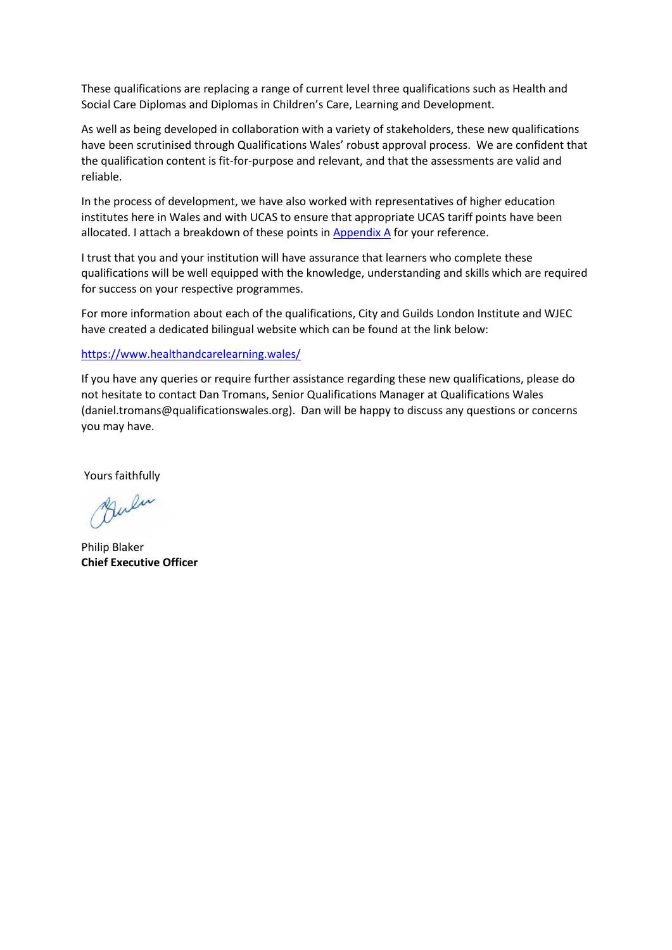These qualifications are replacing a range of current level three qualifications such as Health and Social Care Diplomas and Diplomas in Children's Care, Learning and Development.

As well as being developed in collaboration with a variety of stakeholders, these new qualifications have been scrutinised through Qualifications Wales' robust approval process. We are confident that the qualification content is fit-for-purpose and relevant, and that the assessments are valid and reliable.

In the process of development, we have also worked with representatives of higher education institutes here in Wales and with UCAS to ensure that appropriate UCAS tariff points have been allocated. I attach a breakdown of these points in [Appendix A](#page-2-0) for your reference.

I trust that you and your institution will have assurance that learners who complete these qualifications will be well equipped with the knowledge, understanding and skills which are required for success on your respective programmes.

For more information about each of the qualifications, City and Guilds London Institute and WJEC have created a dedicated bilingual website which can be found at the link below:

## <https://www.healthandcarelearning.wales/>

If you have any queries or require further assistance regarding these new qualifications, please do not hesitate to contact Dan Tromans, Senior Qualifications Manager at Qualifications Wales (daniel.tromans@qualificationswales.org). Dan will be happy to discuss any questions or concerns you may have.

Yours faithfully

Bulu

Philip Blaker **Chief Executive Officer**